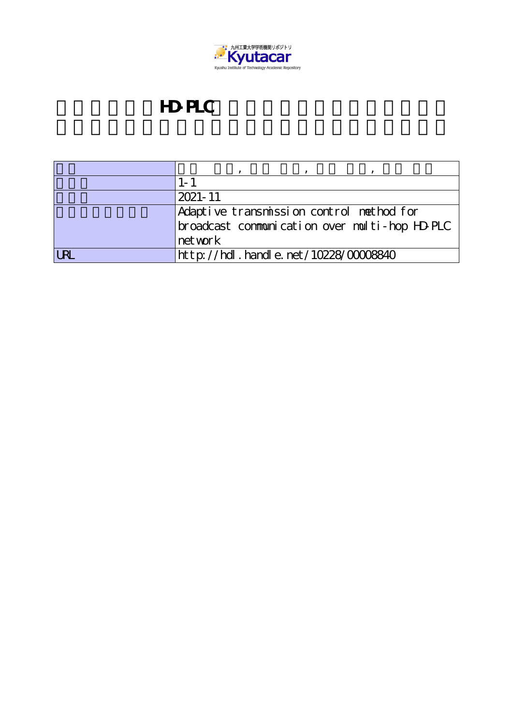

## **HD-PLC**

| $2021 - 11$                                   |
|-----------------------------------------------|
| Adaptive transmission control method for      |
| broadcast communication over multi-hop HD-PLC |
| net work                                      |
| http://hdl.handle.net/10228/00008840          |